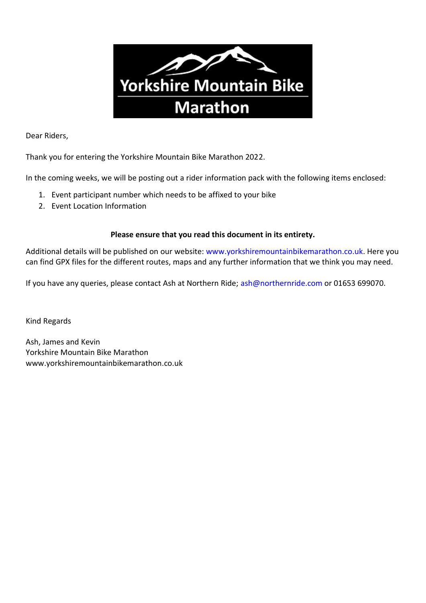

Dear Riders,

Thank you for entering the Yorkshire Mountain Bike Marathon 2022.

In the coming weeks, we will be posting out a rider information pack with the following items enclosed:

- 1. Event participant number which needs to be affixed to your bike
- 2. Event Location Information

## **Please ensure that you read this document in its entirety.**

Additional details will be published on our website: [www.yorkshiremountainbikemarathon.co.uk.](http://www.yorkshiremountainbikemarathon.co.uk/) Here you can find GPX files for the different routes, maps and any further information that we think you may need.

If you have any queries, please contact Ash at Northern Ride; [ash@northernride.com](mailto:ash@northernride.com) or 01653 699070.

Kind Regards

Ash, James and Kevin Yorkshire Mountain Bike Marathon www.yorkshiremountainbikemarathon.co.uk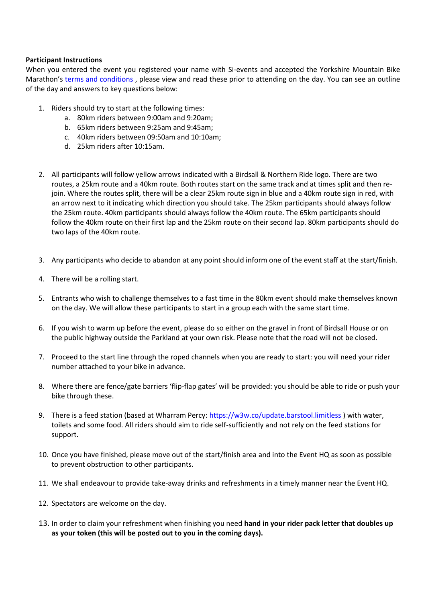#### **Participant Instructions**

When you entered the event you registered your name with Si-events and accepted the Yorkshire Mountain Bike Marathon's [terms and conditions ,](https://www.yorkshiremountainbikemarathon.co.uk/terms-conditions) please view and read these prior to attending on the day. You can see an outline of the day and answers to key questions below:

- 1. Riders should try to start at the following times:
	- a. 80km riders between 9:00am and 9:20am;
	- b. 65km riders between 9:25am and 9:45am;
	- c. 40km riders between 09:50am and 10:10am;
	- d. 25km riders after 10:15am.
- 2. All participants will follow yellow arrows indicated with a Birdsall & Northern Ride logo. There are two routes, a 25km route and a 40km route. Both routes start on the same track and at times split and then rejoin. Where the routes split, there will be a clear 25km route sign in blue and a 40km route sign in red, with an arrow next to it indicating which direction you should take. The 25km participants should always follow the 25km route. 40km participants should always follow the 40km route. The 65km participants should follow the 40km route on their first lap and the 25km route on their second lap. 80km participants should do two laps of the 40km route.
- 3. Any participants who decide to abandon at any point should inform one of the event staff at the start/finish.
- 4. There will be a rolling start.
- 5. Entrants who wish to challenge themselves to a fast time in the 80km event should make themselves known on the day. We will allow these participants to start in a group each with the same start time.
- 6. If you wish to warm up before the event, please do so either on the gravel in front of Birdsall House or on the public highway outside the Parkland at your own risk. Please note that the road will not be closed.
- 7. Proceed to the start line through the roped channels when you are ready to start: you will need your rider number attached to your bike in advance.
- 8. Where there are fence/gate barriers 'flip-flap gates' will be provided: you should be able to ride or push your bike through these.
- 9. There is a feed station (based at Wharram Percy[: https://w3w.co/update.barstool.limitless](https://w3w.co/update.barstool.limitless)) with water, toilets and some food. All riders should aim to ride self-sufficiently and not rely on the feed stations for support.
- 10. Once you have finished, please move out of the start/finish area and into the Event HQ as soon as possible to prevent obstruction to other participants.
- 11. We shall endeavour to provide take-away drinks and refreshments in a timely manner near the Event HQ.
- 12. Spectators are welcome on the day.
- 13. In order to claim your refreshment when finishing you need **hand in your rider pack letter that doubles up as your token (this will be posted out to you in the coming days).**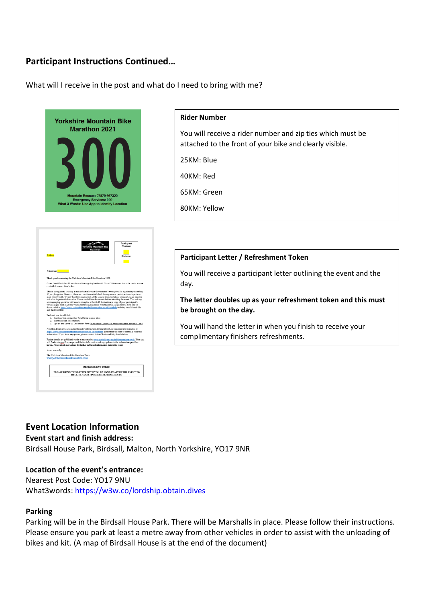## **Participant Instructions Continued…**

What will I receive in the post and what do I need to bring with me?



## **Rider Number**

You will receive a rider number and zip ties which must be attached to the front of your bike and clearly visible.

25KM: Blue

40KM: Red

65KM: Green

80KM: Yellow

# Thank you for entering the Yorkshire Mountain Bike Marathon 2021. ment you are envering the 2 outsine e succession nue was attacked.<br>Hyen the difficult last 18 months and the ongoing battle with Covid-19 the event has to be<br>ontrolled manner than before. assions approximate content and therefore the Government's roots<br>projects from a generalized properties are considered to the content of<br>the system of the system of the system of the content of<br>content in the content of t ild find:<br>cipant number for affixing to your bike;<br>tion Information;<br>i Covid-19 Declaration form (<u>YOU MUS</u>) ion form (YOU MUST COMPLETE AND BRING THIS TO THE START se enclosed in this rider information document sent out via email and available at<br>shiremountainblixensrathon.co.uk/riderinfo, please take the time to carefully read this<br>su have any queries, please contact Ash at Northern Further details are published on the event website: <u>www.yorkshiremountainbikeman</u><br>will find route ggs, files, maps, and further information and any updates to the information<br>herein. Please check the website for further o The Yorkshire Mountain Bike Marathon Team REFRESHMENT TOKEN PLEASE BRING THIS LETTER WITH YOU TO HAND IN AFTER THE EVENT TO RECEIVE YOUR FINISHERS REFRESHMENTS.

#### **Participant Letter / Refreshment Token**

You will receive a participant letter outlining the event and the day.

**The letter doubles up as your refreshment token and this must be brought on the day.**

You will hand the letter in when you finish to receive your complimentary finishers refreshments.

## **Event Location Information**

#### **Event start and finish address:**

Birdsall House Park, Birdsall, Malton, North Yorkshire, YO17 9NR

## **Location of the event's entrance:**

Nearest Post Code: YO17 9NU What3words:<https://w3w.co/lordship.obtain.dives>

## **Parking**

Parking will be in the Birdsall House Park. There will be Marshalls in place. Please follow their instructions. Please ensure you park at least a metre away from other vehicles in order to assist with the unloading of bikes and kit. (A map of Birdsall House is at the end of the document)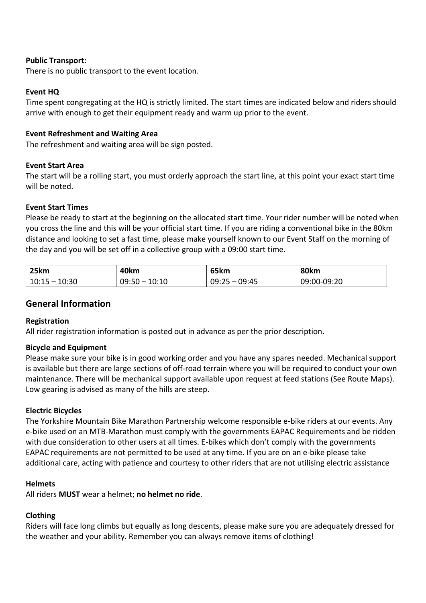#### **Public Transport:**

There is no public transport to the event location.

## **Event HQ**

Time spent congregating at the HQ is strictly limited. The start times are indicated below and riders should arrive with enough to get their equipment ready and warm up prior to the event.

#### **Event Refreshment and Waiting Area**

The refreshment and waiting area will be sign posted.

#### **Event Start Area**

The start will be a rolling start, you must orderly approach the start line, at this point your exact start time will be noted.

#### **Event Start Times**

Please be ready to start at the beginning on the allocated start time. Your rider number will be noted when you cross the line and this will be your official start time. If you are riding a conventional bike in the 80km distance and looking to set a fast time, please make yourself known to our Event Staff on the morning of the day and you will be set off in a collective group with a 09:00 start time.

| 25km           | 40km               | 65km            | 80km        |
|----------------|--------------------|-----------------|-------------|
| 10:30<br>10:15 | $09:50 -$<br>10:10 | $09:25 - 09:45$ | 09:00-09:20 |

## **General Information**

#### **Registration**

All rider registration information is posted out in advance as per the prior description.

#### **Bicycle and Equipment**

Please make sure your bike is in good working order and you have any spares needed. Mechanical support is available but there are large sections of off-road terrain where you will be required to conduct your own maintenance. There will be mechanical support available upon request at feed stations (See Route Maps). Low gearing is advised as many of the hills are steep.

#### **Electric Bicycles**

The Yorkshire Mountain Bike Marathon Partnership welcome responsible e-bike riders at our events. Any e-bike used on an MTB-Marathon must comply with the governments EAPAC Requirements and be ridden with due consideration to other users at all times. E-bikes which don't comply with the governments EAPAC requirements are not permitted to be used at any time. If you are on an e-bike please take additional care, acting with patience and courtesy to other riders that are not utilising electric assistance

#### **Helmets**

All riders **MUST** wear a helmet; **no helmet no ride**.

## **Clothing**

Riders will face long climbs but equally as long descents, please make sure you are adequately dressed for the weather and your ability. Remember you can always remove items of clothing!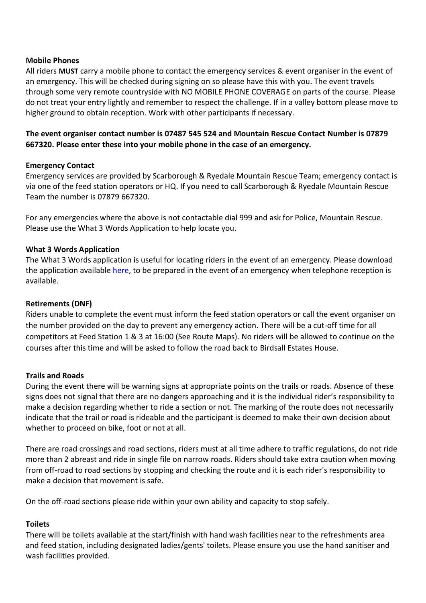#### **Mobile Phones**

All riders **MUST** carry a mobile phone to contact the emergency services & event organiser in the event of an emergency. This will be checked during signing on so please have this with you. The event travels through some very remote countryside with NO MOBILE PHONE COVERAGE on parts of the course. Please do not treat your entry lightly and remember to respect the challenge. If in a valley bottom please move to higher ground to obtain reception. Work with other participants if necessary.

## **The event organiser contact number is 07487 545 524 and Mountain Rescue Contact Number is 07879 667320. Please enter these into your mobile phone in the case of an emergency.**

#### **Emergency Contact**

Emergency services are provided by Scarborough & Ryedale Mountain Rescue Team; emergency contact is via one of the feed station operators or HQ. If you need to call Scarborough & Ryedale Mountain Rescue Team the number is 07879 667320.

For any emergencies where the above is not contactable dial 999 and ask for Police, Mountain Rescue. Please use the What 3 Words Application to help locate you.

#### **What 3 Words Application**

The What 3 Words application is useful for locating riders in the event of an emergency. Please download the application availabl[e here,](https://what3words.com/products/what3words-app/) to be prepared in the event of an emergency when telephone reception is available.

#### **Retirements (DNF)**

Riders unable to complete the event must inform the feed station operators or call the event organiser on the number provided on the day to prevent any emergency action. There will be a cut-off time for all competitors at Feed Station 1 & 3 at 16:00 (See Route Maps). No riders will be allowed to continue on the courses after this time and will be asked to follow the road back to Birdsall Estates House.

#### **Trails and Roads**

During the event there will be warning signs at appropriate points on the trails or roads. Absence of these signs does not signal that there are no dangers approaching and it is the individual rider's responsibility to make a decision regarding whether to ride a section or not. The marking of the route does not necessarily indicate that the trail or road is rideable and the participant is deemed to make their own decision about whether to proceed on bike, foot or not at all.

There are road crossings and road sections, riders must at all time adhere to traffic regulations, do not ride more than 2 abreast and ride in single file on narrow roads. Riders should take extra caution when moving from off-road to road sections by stopping and checking the route and it is each rider's responsibility to make a decision that movement is safe.

On the off-road sections please ride within your own ability and capacity to stop safely.

#### **Toilets**

There will be toilets available at the start/finish with hand wash facilities near to the refreshments area and feed station, including designated ladies/gents' toilets. Please ensure you use the hand sanitiser and wash facilities provided.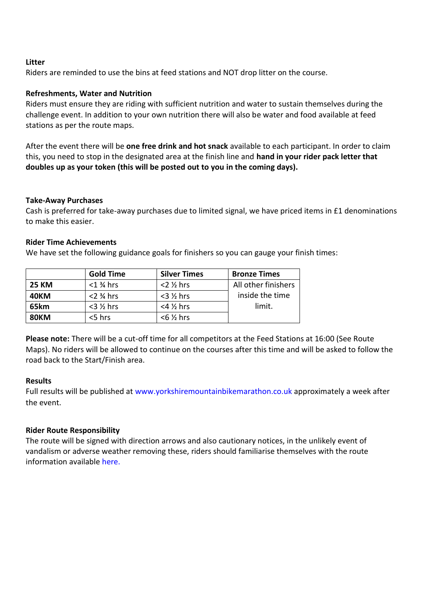## **Litter**

Riders are reminded to use the bins at feed stations and NOT drop litter on the course.

## **Refreshments, Water and Nutrition**

Riders must ensure they are riding with sufficient nutrition and water to sustain themselves during the challenge event. In addition to your own nutrition there will also be water and food available at feed stations as per the route maps.

After the event there will be **one free drink and hot snack** available to each participant. In order to claim this, you need to stop in the designated area at the finish line and **hand in your rider pack letter that doubles up as your token (this will be posted out to you in the coming days).**

#### **Take-Away Purchases**

Cash is preferred for take-away purchases due to limited signal, we have priced items in £1 denominations to make this easier.

#### **Rider Time Achievements**

We have set the following guidance goals for finishers so you can gauge your finish times:

|              | <b>Gold Time</b>        | <b>Silver Times</b>     | <b>Bronze Times</b> |
|--------------|-------------------------|-------------------------|---------------------|
| <b>25 KM</b> | $<$ 1 $\frac{3}{4}$ hrs | $<$ 2 $\frac{1}{2}$ hrs | All other finishers |
| <b>40KM</b>  | $<$ 2 $\frac{3}{4}$ hrs | $<$ 3 $\frac{1}{2}$ hrs | inside the time     |
| 65km         | $<$ 3 $\frac{1}{2}$ hrs | $<$ 4 $\frac{1}{2}$ hrs | limit.              |
| <b>80KM</b>  | <5 hrs                  | $<$ 6 $\frac{1}{2}$ hrs |                     |

**Please note:** There will be a cut-off time for all competitors at the Feed Stations at 16:00 (See Route Maps). No riders will be allowed to continue on the courses after this time and will be asked to follow the road back to the Start/Finish area.

#### **Results**

Full results will be published at [www.yorkshiremountainbikemarathon.co.uk](http://www.yorkshiremountainbikemarathon.co.uk/) approximately a week after the event.

## **Rider Route Responsibility**

The route will be signed with direction arrows and also cautionary notices, in the unlikely event of vandalism or adverse weather removing these, riders should familiarise themselves with the route information available [here.](https://www.yorkshiremountainbikemarathon.co.uk/routes)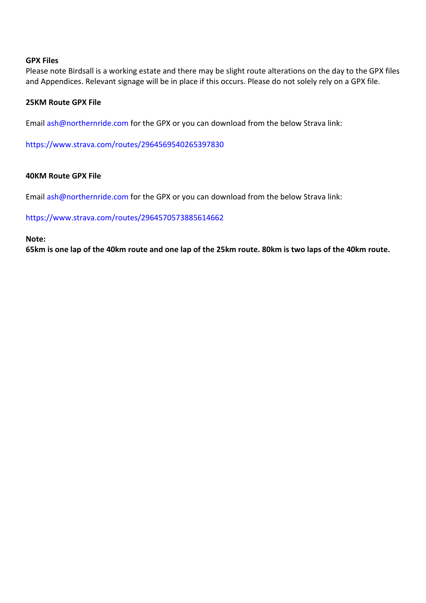#### **GPX Files**

Please note Birdsall is a working estate and there may be slight route alterations on the day to the GPX files and Appendices. Relevant signage will be in place if this occurs. Please do not solely rely on a GPX file.

#### **25KM Route GPX File**

Email [ash@northernride.com](mailto:ash@northernride.com) for the GPX or you can download from the below Strava link:

<https://www.strava.com/routes/2964569540265397830>

### **40KM Route GPX File**

Email [ash@northernride.com](mailto:ash@northernride.com) for the GPX or you can download from the below Strava link:

<https://www.strava.com/routes/2964570573885614662>

**Note:** 

**65km is one lap of the 40km route and one lap of the 25km route. 80km is two laps of the 40km route.**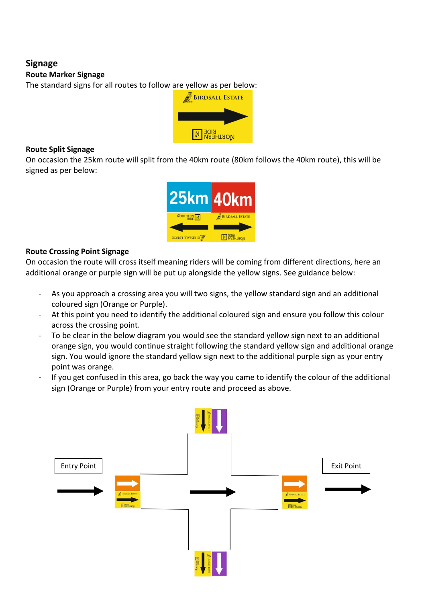## **Signage Route Marker Signage**

The standard signs for all routes to follow are yellow as per below:



## **Route Split Signage**

On occasion the 25km route will split from the 40km route (80km follows the 40km route), this will be signed as per below:



## **Route Crossing Point Signage**

On occasion the route will cross itself meaning riders will be coming from different directions, here an additional orange or purple sign will be put up alongside the yellow signs. See guidance below:

- As you approach a crossing area you will two signs, the yellow standard sign and an additional coloured sign (Orange or Purple).
- At this point you need to identify the additional coloured sign and ensure you follow this colour across the crossing point.
- To be clear in the below diagram you would see the standard yellow sign next to an additional orange sign, you would continue straight following the standard yellow sign and additional orange sign. You would ignore the standard yellow sign next to the additional purple sign as your entry point was orange.
- If you get confused in this area, go back the way you came to identify the colour of the additional sign (Orange or Purple) from your entry route and proceed as above.

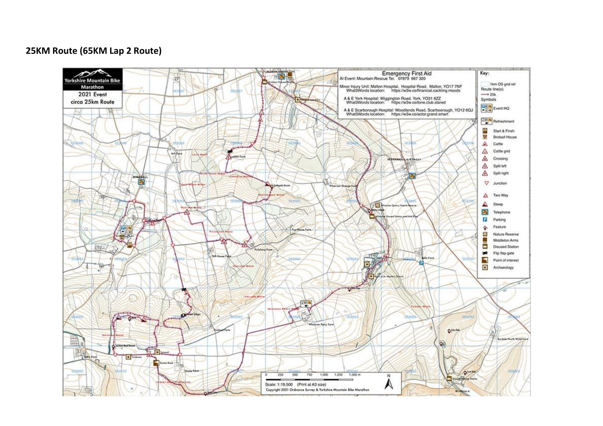## **25KM Route (65KM Lap 2 Route)**

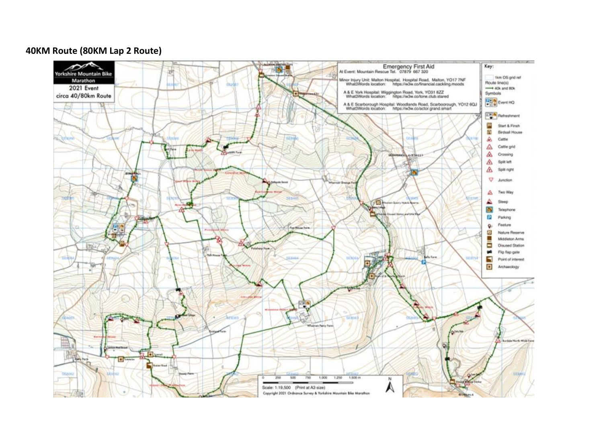## **40KM Route (80KM Lap 2 Route)**

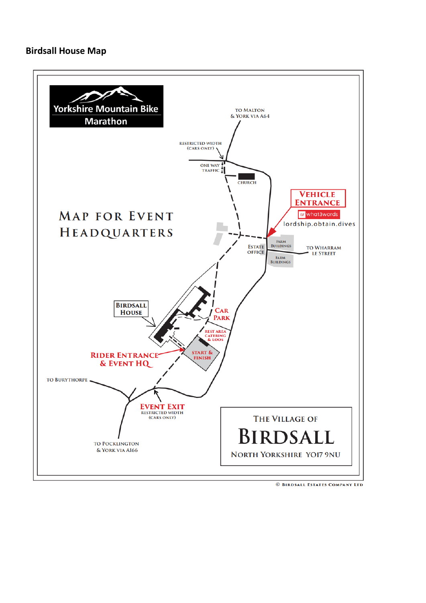## **Birdsall House Map**



**© BIRDSALL ESTATES COMPANY LTD**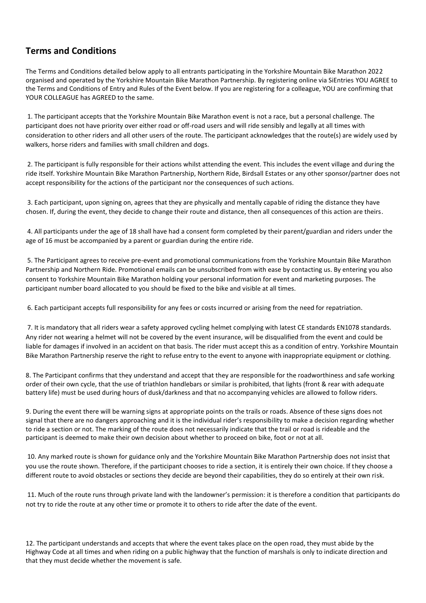## **Terms and Conditions**

The Terms and Conditions detailed below apply to all entrants participating in the Yorkshire Mountain Bike Marathon 2022 organised and operated by the Yorkshire Mountain Bike Marathon Partnership. By registering online via SiEntries YOU AGREE to the Terms and Conditions of Entry and Rules of the Event below. If you are registering for a colleague, YOU are confirming that YOUR COLLEAGUE has AGREED to the same.

1. The participant accepts that the Yorkshire Mountain Bike Marathon event is not a race, but a personal challenge. The participant does not have priority over either road or off-road users and will ride sensibly and legally at all times with consideration to other riders and all other users of the route. The participant acknowledges that the route(s) are widely used by walkers, horse riders and families with small children and dogs.

2. The participant is fully responsible for their actions whilst attending the event. This includes the event village and during the ride itself. Yorkshire Mountain Bike Marathon Partnership, Northern Ride, Birdsall Estates or any other sponsor/partner does not accept responsibility for the actions of the participant nor the consequences of such actions.

3. Each participant, upon signing on, agrees that they are physically and mentally capable of riding the distance they have chosen. If, during the event, they decide to change their route and distance, then all consequences of this action are theirs.

4. All participants under the age of 18 shall have had a consent form completed by their parent/guardian and riders under the age of 16 must be accompanied by a parent or guardian during the entire ride.

5. The Participant agrees to receive pre-event and promotional communications from the Yorkshire Mountain Bike Marathon Partnership and Northern Ride. Promotional emails can be unsubscribed from with ease by contacting us. By entering you also consent to Yorkshire Mountain Bike Marathon holding your personal information for event and marketing purposes. The participant number board allocated to you should be fixed to the bike and visible at all times.

6. Each participant accepts full responsibility for any fees or costs incurred or arising from the need for repatriation.

7. It is mandatory that all riders wear a safety approved cycling helmet complying with latest CE standards EN1078 standards. Any rider not wearing a helmet will not be covered by the event insurance, will be disqualified from the event and could be liable for damages if involved in an accident on that basis. The rider must accept this as a condition of entry. Yorkshire Mountain Bike Marathon Partnership reserve the right to refuse entry to the event to anyone with inappropriate equipment or clothing.

8. The Participant confirms that they understand and accept that they are responsible for the roadworthiness and safe working order of their own cycle, that the use of triathlon handlebars or similar is prohibited, that lights (front & rear with adequate battery life) must be used during hours of dusk/darkness and that no accompanying vehicles are allowed to follow riders.

9. During the event there will be warning signs at appropriate points on the trails or roads. Absence of these signs does not signal that there are no dangers approaching and it is the individual rider's responsibility to make a decision regarding whether to ride a section or not. The marking of the route does not necessarily indicate that the trail or road is rideable and the participant is deemed to make their own decision about whether to proceed on bike, foot or not at all.

10. Any marked route is shown for guidance only and the Yorkshire Mountain Bike Marathon Partnership does not insist that you use the route shown. Therefore, if the participant chooses to ride a section, it is entirely their own choice. If they choose a different route to avoid obstacles or sections they decide are beyond their capabilities, they do so entirely at their own risk.

11. Much of the route runs through private land with the landowner's permission: it is therefore a condition that participants do not try to ride the route at any other time or promote it to others to ride after the date of the event.

12. The participant understands and accepts that where the event takes place on the open road, they must abide by the Highway Code at all times and when riding on a public highway that the function of marshals is only to indicate direction and that they must decide whether the movement is safe.